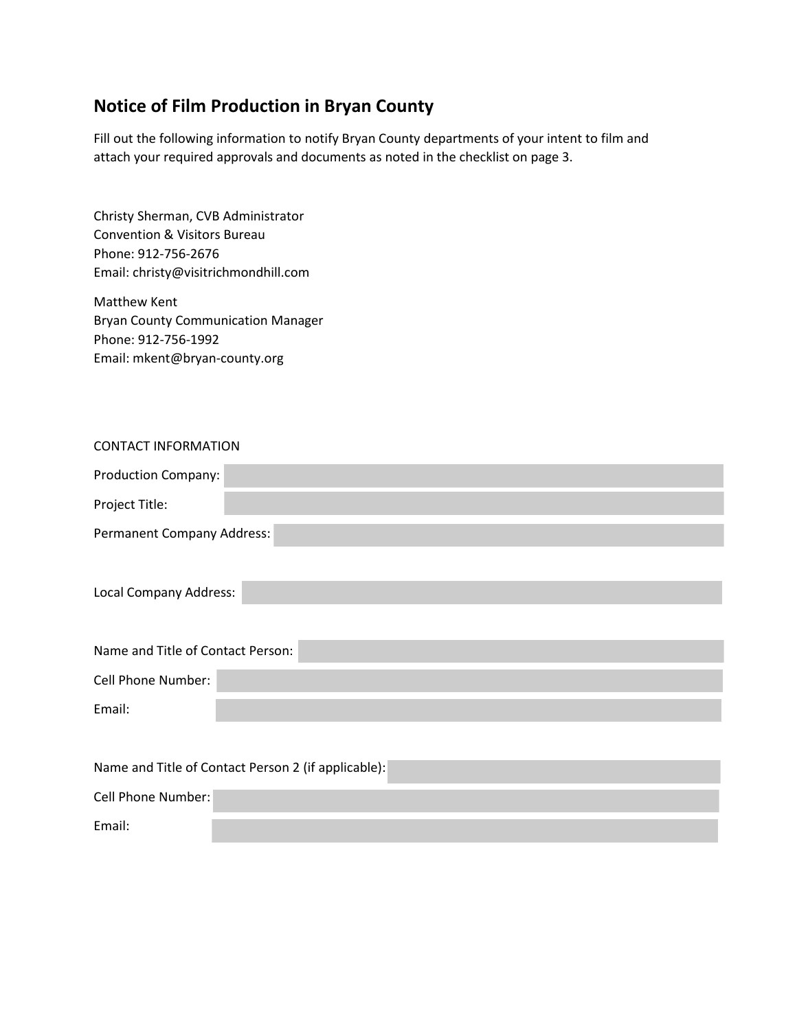## **Notice of Film Production in Bryan County**

Fill out the following information to notify Bryan County departments of your intent to film and attach your required approvals and documents as noted in the checklist on page 3.

Christy Sherman, CVB Administrator Convention & Visitors Bureau Phone: 912-756-2676 Email: christy@visitrichmondhill.com

Matthew Kent Bryan County Communication Manager Phone: 912-756-1992 Email: mkent@bryan-county.org

|  | <b>CONTACT INFORMATION</b> |
|--|----------------------------|
|--|----------------------------|

| Production Company:        |  |
|----------------------------|--|
| Project Title:             |  |
| Permanent Company Address: |  |

| Name and Title of Contact Person: |  |
|-----------------------------------|--|
| Cell Phone Number:                |  |
|                                   |  |
| Email:                            |  |
|                                   |  |

| Name and Title of Contact Person 2 (if applicable): |  |  |
|-----------------------------------------------------|--|--|
| Cell Phone Number:                                  |  |  |
| Email:                                              |  |  |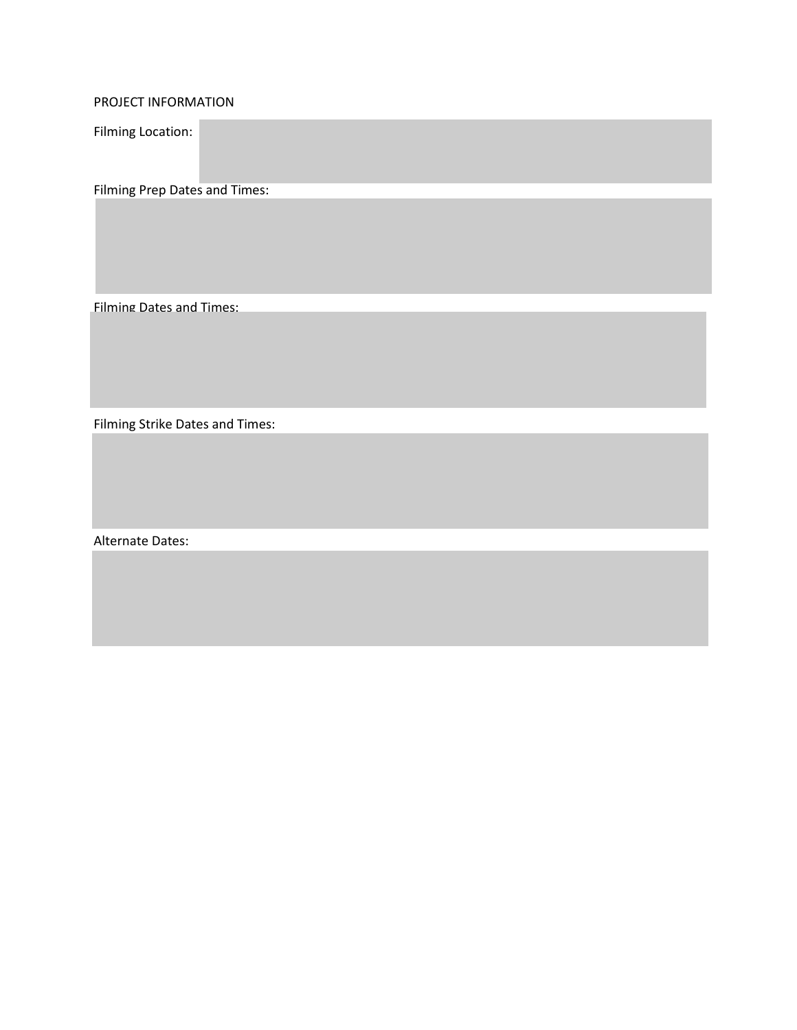PROJECT INFORMATION

Filming Location:

Filming Prep Dates and Times:

Filming Dates and Times:

Filming Strike Dates and Times:

Alternate Dates: